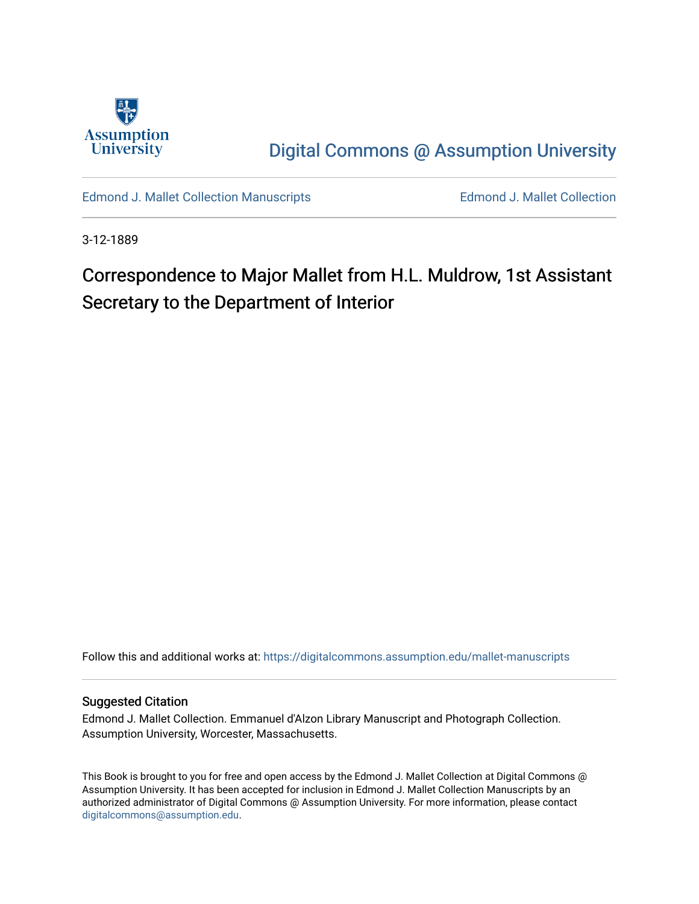

[Digital Commons @ Assumption University](https://digitalcommons.assumption.edu/) 

[Edmond J. Mallet Collection Manuscripts](https://digitalcommons.assumption.edu/mallet-manuscripts) **Edmond J. Mallet Collection** 

3-12-1889

# Correspondence to Major Mallet from H.L. Muldrow, 1st Assistant Secretary to the Department of Interior

Follow this and additional works at: [https://digitalcommons.assumption.edu/mallet-manuscripts](https://digitalcommons.assumption.edu/mallet-manuscripts?utm_source=digitalcommons.assumption.edu%2Fmallet-manuscripts%2F88&utm_medium=PDF&utm_campaign=PDFCoverPages) 

#### Suggested Citation

Edmond J. Mallet Collection. Emmanuel d'Alzon Library Manuscript and Photograph Collection. Assumption University, Worcester, Massachusetts.

This Book is brought to you for free and open access by the Edmond J. Mallet Collection at Digital Commons @ Assumption University. It has been accepted for inclusion in Edmond J. Mallet Collection Manuscripts by an authorized administrator of Digital Commons @ Assumption University. For more information, please contact [digitalcommons@assumption.edu](mailto:digitalcommons@assumption.edu).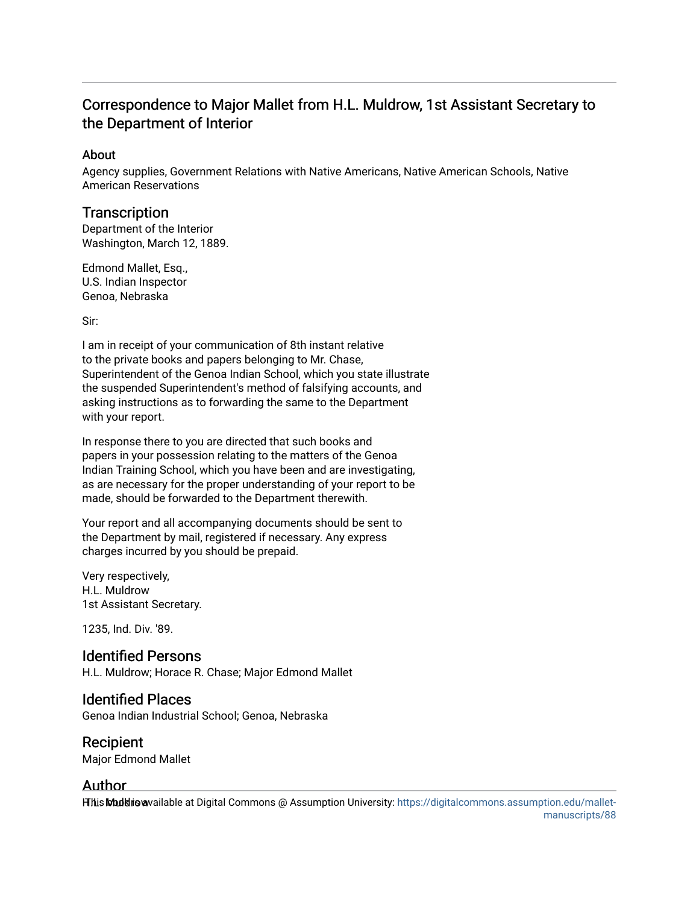# Correspondence to Major Mallet from H.L. Muldrow, 1st Assistant Secretary to the Department of Interior

### About

Agency supplies, Government Relations with Native Americans, Native American Schools, Native American Reservations

### **Transcription**

Department of the Interior Washington, March 12, 1889.

Edmond Mallet, Esq., U.S. Indian Inspector Genoa, Nebraska

Sir:

I am in receipt of your communication of 8th instant relative to the private books and papers belonging to Mr. Chase, Superintendent of the Genoa Indian School, which you state illustrate the suspended Superintendent's method of falsifying accounts, and asking instructions as to forwarding the same to the Department with your report.

In response there to you are directed that such books and papers in your possession relating to the matters of the Genoa Indian Training School, which you have been and are investigating, as are necessary for the proper understanding of your report to be made, should be forwarded to the Department therewith.

Your report and all accompanying documents should be sent to the Department by mail, registered if necessary. Any express charges incurred by you should be prepaid.

Very respectively, H.L. Muldrow 1st Assistant Secretary.

1235, Ind. Div. '89.

## Identified Persons

H.L. Muldrow; Horace R. Chase; Major Edmond Mallet

### Identified Places

Genoa Indian Industrial School; Genoa, Nebraska

### Recipient

Major Edmond Mallet

### Author

Hhis Muddio wailable at Digital Commons @ Assumption University: [https://digitalcommons.assumption.edu/mallet-](https://digitalcommons.assumption.edu/mallet-manuscripts/88)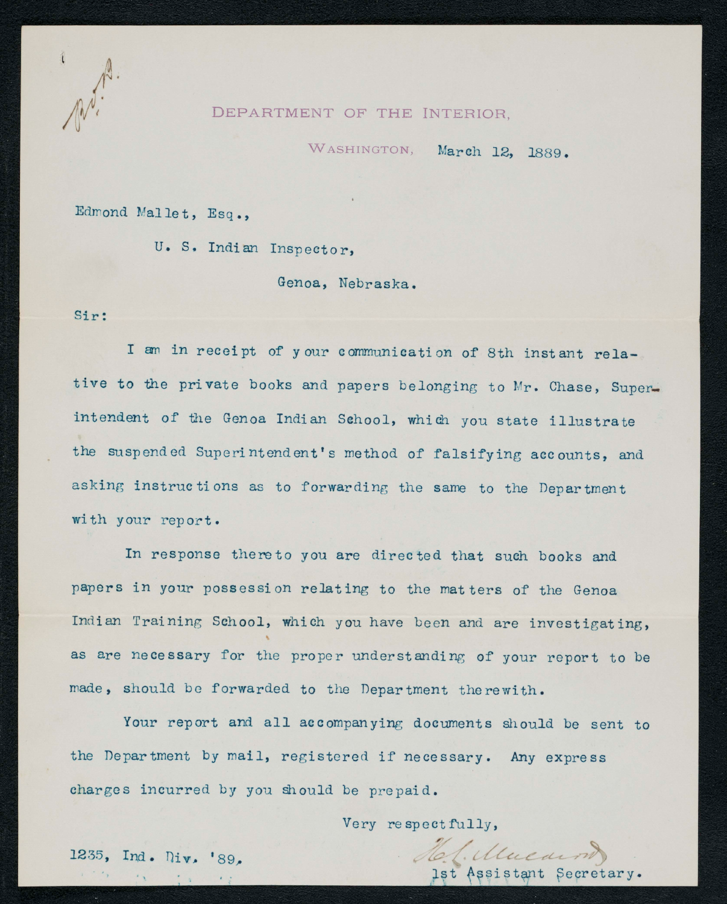#### DEPARTMENT OF THE INTERIOR.

WASHINGTON, March 12, 1889.

Edmond Mallet, Esq.,

U. S. Indian Inspector,

Genoa, Nebraska.

Sir:

I am in receipt of your communication of 8th instant relative to the private books and papers belonging to Mr. Chase, Superintendent of the Genoa Indian School, which you state illustrate the suspended Superintendent's method of falsifying accounts, and asking instructions as to forwarding the same to the Department with your report.

In response there to you are directed that such books and papers in your possession relating to the matters of the Genoa Indian Training School, which you have been and are investigating, as are necessary for the proper understanding of your report to be made, should be forwarded to the Department therewith.

Your report and all accompanying documents should be sent to the Department by mail, registered if necessary. Any express charges incurred by you should be prepaid.

Very respectfully,

1235, Ind. Div. '89.

Assistant Secretary.

(Mucarn)